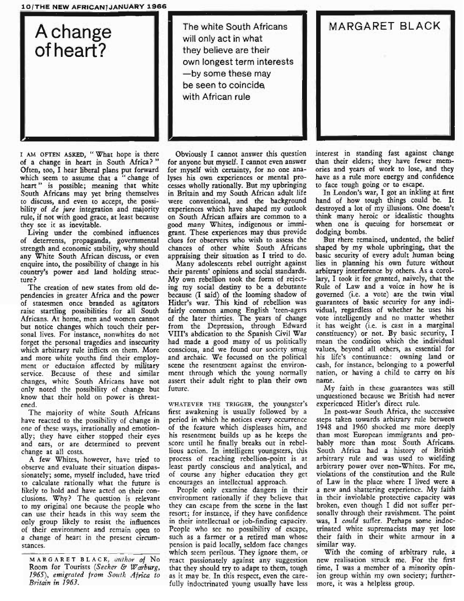## IQ/THE NEW AFRICAN7JANUARY 1966

A change of heart?

I AM OFTEN ASKED, "What hope is there of a change in heart in South Africa?" Often, too, I hear liberal plans put forward which seem to assume that a "change of heart" is possible; meaning that white South Africans may yet bring themselves to discuss, and even to accept, the possibility of *de jure* integration and majority rule, if not with good grace, at least because they see it as inevitable.

Living under the combined influences of deterrents, propaganda, governmental strength and economic stability, why should any White South African discuss, or even enquire into, the possibility of change in his country's power and land holding structure?

The creation of new states from old dependencies in greater Africa and the power of statesmen once branded as agitators raise startling possibilities for all South Africans. At home, men and women cannot but notice changes which touch their personal lives. For instance, nonwhites do not forget the personal tragedies and insecurity which arbitrary rule inflicts on them. More and more white youths find their employment or eductaion affected by military service. Because of these and similar changes, white South Africans have not only noted the possibility of change but know that their hold on power is threatened.

The majority of white South Africans have reacted to the possibility of change in one of these ways, irrationally and emotionally; they have either stopped their eyes and ears, or are determined to prevent change at all costs.

A few Whites, however, have tried to observe and evaluate their situation dispassionately; some, myself included, have tried to calculate rationally what the future is likely to hold and have acted on their conclusions. Why? The question is relevant to my original one because the people who can use their heads in this way seem the only group likely to resist the influences of their environment and remain open to a change of heart in the present circumstances.

M A R G ARE T B LAC K, *author* of No Room for Tourists *(Seeker* & *Warburg, 1965), emigrated from South Africa to Britain in 1963.*

**-**<br>The white South Africans will only act in what they believe are their own longest term interests  $-$ by some these may be seen to coincide, with African rule

**..**

Obviously I cannot answer this question for anyone but myself. I cannot even answer for myself with certainty, for no one analyses his own experiences or mental processes wholly rationally. But my upbringing in Britain and my South African adult life were conventional, and the background experiences which have shaped my outlook on South African affairs are common to a good many Whites, indigenous or immigrant. These experiences may thus provide clues for observers who wish to assess the chances of other white South Africans appraising their situation as I tried to do.

Many adolescents rebel outright against their parents' opinions and social standards. My own rebellion took the form of rejecting my social destiny to be a debutante because (I said) of the looming shadow of Hitler's war. This kind of rebellion was fairly common among English 'teen-agers of the later thirties. The years of change from the Depression, through Edward VIII's abdication to the Spanish Civil War had made a good many of us politically conscious, and we found our society smug and archaic. We focussed on the political scene the resentment against the environment through which the young normally assert their adult right to plan their own future.

WHATEVER THE TRIGGER, the youngster's first awakening is usually followed by a period in which he notices every occurrence of the feature which displeases him, and his resentment builds up as he keeps the score until he finally breaks out in rebellious action. In intelligent youngsters, this process of reaching rebellion-point is at least partly conscious and analytical, and of course any higher education they get encourages an intellectual approach.

People only examine dangers in their environment rationally if they believe that they can escape from the scene in the last resort; for instance, if they have confidence in their intellectual or job-finding capacity. People who see no possibility of escape, such as a farmer or a retired man whose pension is paid locally, seldom face changes which seem perilous. They ignore them, or react passionately against any suggestion that they should try to adapt to them, tough as it may be. In this respect, even the carefully indoctrinated young usually have less

MARGARET BLACK

interest in standing fast against change than their elders; they have fewer memories and years of work to lose, and they have as a rule more energy and confidence to face tough going or to escape.

In London's war, I got an inkling at first hand of how tough things could be. It destroyed a lot of my illusions. One doesn't think many heroic or idealistic thoughts when one is queuing for horsemeat or  $d$ odgin<sub>i</sub> $\chi$  bombs.

But there remained, undented, the belief shaped by my whole upbringing, that the basic security of every adult human being lies in planning his own future without arbitrary interference by others. As a corollary, I took it for granted, naively, that the Rule of Law and a voice in how he is governed (i.e. a vote) are the twin vital guarantees of basic security for any individual, regardless of whether he uses his vote intelligently and no matter whether it has weight (i.e. is cast in a marginal constituency) or not. By basic security, I mean the condition which the individual values, beyond all others, as essential for his life's continuance: owning land or cash, for instance, belonging to a powerful nation, or having a child to carry on his name.

My faith in these guarantees was still unquestioned because we British had never experienced Hitler's direct rule.

In post-war South Africa, the successive steps taken towards arbitrary rule between 1948 and 1960 shocked me more deeply than most European immigrants and probably more than most South Africans. South Africa had a history of British arbitrary rule and was used to wielding arbitrary power over non-Whites. For me, violations of the constitution and the Rule of Law in the place where I lived were a a new and shattering experience. My faith in their inviolable protective capacity was broken, even though I did not suffer personally through their ravishment. The point was, I *could* suffer. Perhaps some indoctrinated white supremacists may yet lose their faith in their white armour in a similar way.

With the coming of arbitrary rule, a new realisation struck me. For the first time, I was a member of a minority opinion group within my own society; furthermore, it was a helpless group.